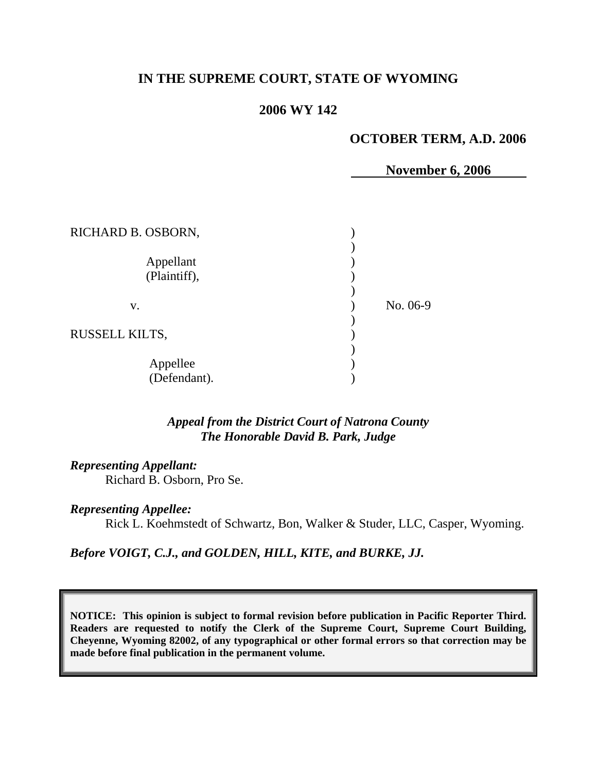# **IN THE SUPREME COURT, STATE OF WYOMING**

## **2006 WY 142**

## **OCTOBER TERM, A.D. 2006**

**November 6, 2006** 

| RICHARD B. OSBORN,        |          |
|---------------------------|----------|
| Appellant<br>(Plaintiff), |          |
| V.                        | No. 06-9 |
| <b>RUSSELL KILTS,</b>     |          |
| Appellee<br>(Defendant).  |          |

## *Appeal from the District Court of Natrona County The Honorable David B. Park, Judge*

### *Representing Appellant:*

Richard B. Osborn, Pro Se.

#### *Representing Appellee:*

Rick L. Koehmstedt of Schwartz, Bon, Walker & Studer, LLC, Casper, Wyoming.

*Before VOIGT, C.J., and GOLDEN, HILL, KITE, and BURKE, JJ.* 

**NOTICE: This opinion is subject to formal revision before publication in Pacific Reporter Third. Readers are requested to notify the Clerk of the Supreme Court, Supreme Court Building, Cheyenne, Wyoming 82002, of any typographical or other formal errors so that correction may be made before final publication in the permanent volume.**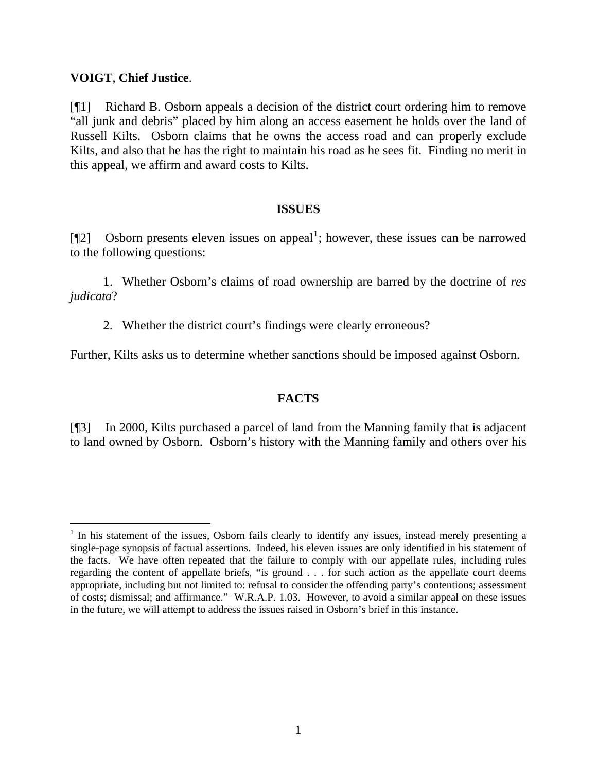## **VOIGT**, **Chief Justice**.

 $\overline{a}$ 

[¶1] Richard B. Osborn appeals a decision of the district court ordering him to remove "all junk and debris" placed by him along an access easement he holds over the land of Russell Kilts. Osborn claims that he owns the access road and can properly exclude Kilts, and also that he has the right to maintain his road as he sees fit. Finding no merit in this appeal, we affirm and award costs to Kilts.

## **ISSUES**

[ $\llbracket 2 \rrbracket$  Osborn presents eleven issues on appeal<sup>[1](#page-1-0)</sup>; however, these issues can be narrowed to the following questions:

 1. Whether Osborn's claims of road ownership are barred by the doctrine of *res judicata*?

2. Whether the district court's findings were clearly erroneous?

Further, Kilts asks us to determine whether sanctions should be imposed against Osborn.

# **FACTS**

[¶3] In 2000, Kilts purchased a parcel of land from the Manning family that is adjacent to land owned by Osborn. Osborn's history with the Manning family and others over his

<span id="page-1-0"></span><sup>&</sup>lt;sup>1</sup> In his statement of the issues, Osborn fails clearly to identify any issues, instead merely presenting a single-page synopsis of factual assertions. Indeed, his eleven issues are only identified in his statement of the facts. We have often repeated that the failure to comply with our appellate rules, including rules regarding the content of appellate briefs, "is ground . . . for such action as the appellate court deems appropriate, including but not limited to: refusal to consider the offending party's contentions; assessment of costs; dismissal; and affirmance." W.R.A.P. 1.03. However, to avoid a similar appeal on these issues in the future, we will attempt to address the issues raised in Osborn's brief in this instance.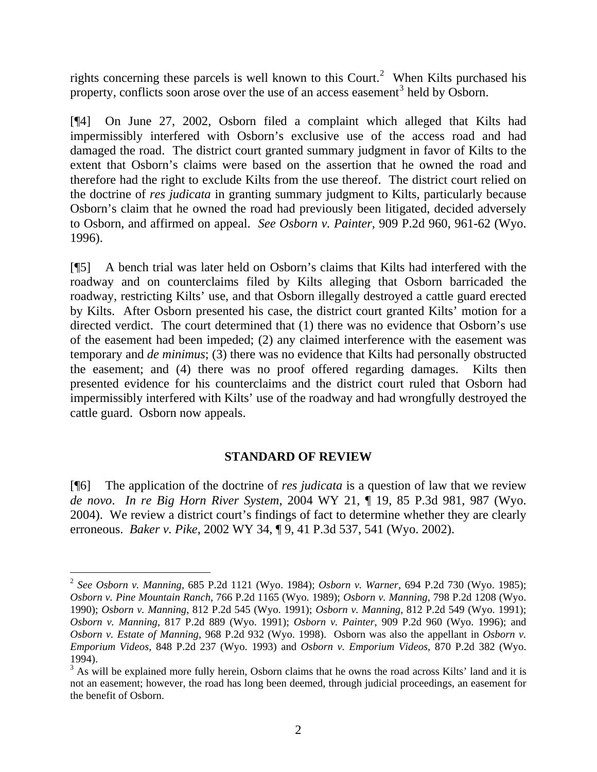rights concerning these parcels is well known to this Court.<sup>[2](#page-2-0)</sup> When Kilts purchased his property, conflicts soon arose over the use of an access easement<sup>[3](#page-2-1)</sup> held by Osborn.

[¶4] On June 27, 2002, Osborn filed a complaint which alleged that Kilts had impermissibly interfered with Osborn's exclusive use of the access road and had damaged the road. The district court granted summary judgment in favor of Kilts to the extent that Osborn's claims were based on the assertion that he owned the road and therefore had the right to exclude Kilts from the use thereof. The district court relied on the doctrine of *res judicata* in granting summary judgment to Kilts, particularly because Osborn's claim that he owned the road had previously been litigated, decided adversely to Osborn, and affirmed on appeal. *See Osborn v. Painter*, 909 P.2d 960, 961-62 (Wyo. 1996).

[¶5] A bench trial was later held on Osborn's claims that Kilts had interfered with the roadway and on counterclaims filed by Kilts alleging that Osborn barricaded the roadway, restricting Kilts' use, and that Osborn illegally destroyed a cattle guard erected by Kilts. After Osborn presented his case, the district court granted Kilts' motion for a directed verdict. The court determined that (1) there was no evidence that Osborn's use of the easement had been impeded; (2) any claimed interference with the easement was temporary and *de minimus*; (3) there was no evidence that Kilts had personally obstructed the easement; and (4) there was no proof offered regarding damages. Kilts then presented evidence for his counterclaims and the district court ruled that Osborn had impermissibly interfered with Kilts' use of the roadway and had wrongfully destroyed the cattle guard. Osborn now appeals.

# **STANDARD OF REVIEW**

[¶6] The application of the doctrine of *res judicata* is a question of law that we review *de novo*. *In re Big Horn River System*, 2004 WY 21, ¶ 19, 85 P.3d 981, 987 (Wyo. 2004). We review a district court's findings of fact to determine whether they are clearly erroneous. *Baker v. Pike*, 2002 WY 34, ¶ 9, 41 P.3d 537, 541 (Wyo. 2002).

 $\overline{a}$ 

<span id="page-2-0"></span><sup>2</sup> *See Osborn v. Manning*, 685 P.2d 1121 (Wyo. 1984); *Osborn v. Warner*, 694 P.2d 730 (Wyo. 1985); *Osborn v. Pine Mountain Ranch*, 766 P.2d 1165 (Wyo. 1989); *Osborn v. Manning*, 798 P.2d 1208 (Wyo. 1990); *Osborn v. Manning*, 812 P.2d 545 (Wyo. 1991); *Osborn v. Manning*, 812 P.2d 549 (Wyo. 1991); *Osborn v. Manning*, 817 P.2d 889 (Wyo. 1991); *Osborn v. Painter*, 909 P.2d 960 (Wyo. 1996); and *Osborn v. Estate of Manning*, 968 P.2d 932 (Wyo. 1998). Osborn was also the appellant in *Osborn v. Emporium Videos*, 848 P.2d 237 (Wyo. 1993) and *Osborn v. Emporium Videos*, 870 P.2d 382 (Wyo. 1994).

<span id="page-2-1"></span><sup>&</sup>lt;sup>3</sup> As will be explained more fully herein, Osborn claims that he owns the road across Kilts' land and it is not an easement; however, the road has long been deemed, through judicial proceedings, an easement for the benefit of Osborn.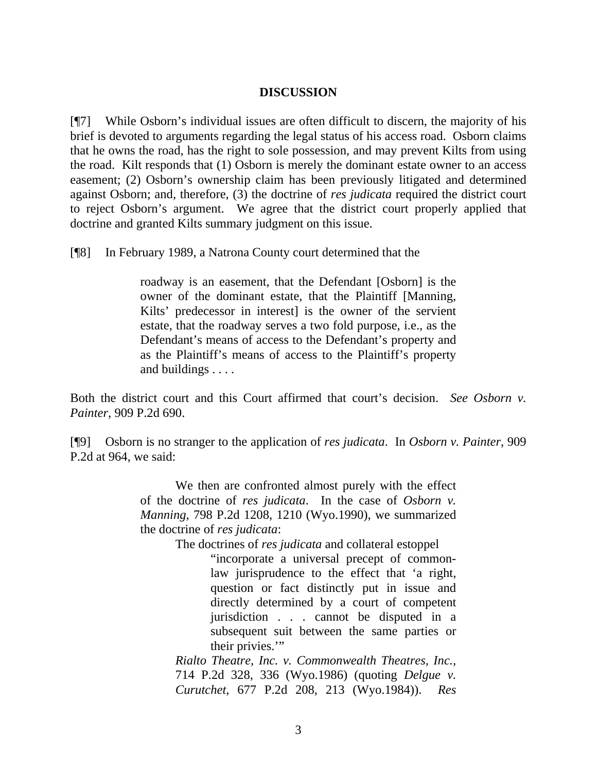### **DISCUSSION**

[¶7] While Osborn's individual issues are often difficult to discern, the majority of his brief is devoted to arguments regarding the legal status of his access road. Osborn claims that he owns the road, has the right to sole possession, and may prevent Kilts from using the road. Kilt responds that (1) Osborn is merely the dominant estate owner to an access easement; (2) Osborn's ownership claim has been previously litigated and determined against Osborn; and, therefore, (3) the doctrine of *res judicata* required the district court to reject Osborn's argument. We agree that the district court properly applied that doctrine and granted Kilts summary judgment on this issue.

[¶8] In February 1989, a Natrona County court determined that the

roadway is an easement, that the Defendant [Osborn] is the owner of the dominant estate, that the Plaintiff [Manning, Kilts' predecessor in interest] is the owner of the servient estate, that the roadway serves a two fold purpose, i.e., as the Defendant's means of access to the Defendant's property and as the Plaintiff's means of access to the Plaintiff's property and buildings . . . .

Both the district court and this Court affirmed that court's decision. *See Osborn v. Painter*, 909 P.2d 690.

[¶9] Osborn is no stranger to the application of *res judicata*. In *Osborn v. Painter*, 909 P.2d at 964, we said:

> We then are confronted almost purely with the effect of the doctrine of *res judicata*. In the case of *Osborn v. Manning*, 798 P.2d 1208, 1210 (Wyo.1990), we summarized the doctrine of *res judicata*:

The doctrines of *res judicata* and collateral estoppel

"incorporate a universal precept of commonlaw jurisprudence to the effect that 'a right, question or fact distinctly put in issue and directly determined by a court of competent jurisdiction . . . cannot be disputed in a subsequent suit between the same parties or their privies."

*Rialto Theatre, Inc. v. Commonwealth Theatres, Inc.*, 714 P.2d 328, 336 (Wyo.1986) (quoting *Delgue v. Curutchet*, 677 P.2d 208, 213 (Wyo.1984)). *Res*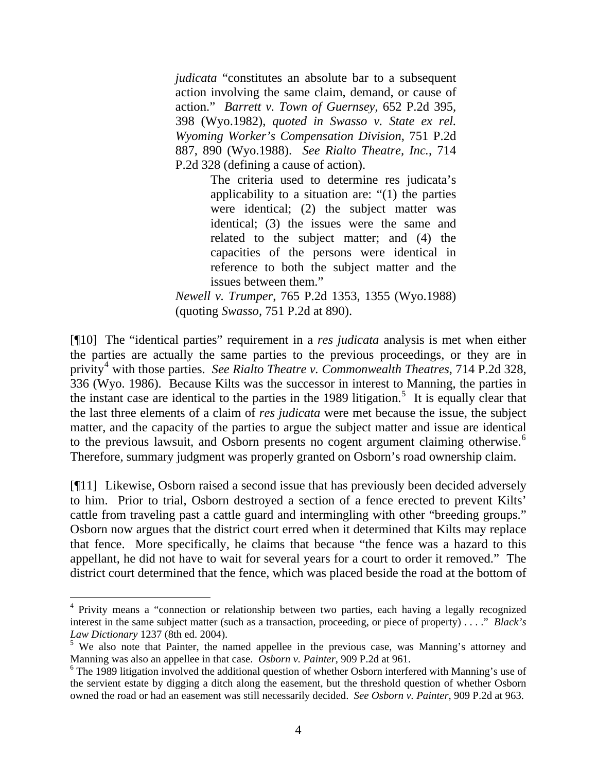*judicata* "constitutes an absolute bar to a subsequent action involving the same claim, demand, or cause of action." *Barrett v. Town of Guernsey*, 652 P.2d 395, 398 (Wyo.1982), *quoted in Swasso v. State ex rel. Wyoming Worker's Compensation Division*, 751 P.2d 887, 890 (Wyo.1988). *See Rialto Theatre, Inc.*, 714 P.2d 328 (defining a cause of action).

> The criteria used to determine res judicata's applicability to a situation are: "(1) the parties were identical; (2) the subject matter was identical; (3) the issues were the same and related to the subject matter; and (4) the capacities of the persons were identical in reference to both the subject matter and the issues between them."

*Newell v. Trumper*, 765 P.2d 1353, 1355 (Wyo.1988) (quoting *Swasso*, 751 P.2d at 890).

[¶10] The "identical parties" requirement in a *res judicata* analysis is met when either the parties are actually the same parties to the previous proceedings, or they are in privity<sup>[4](#page-4-0)</sup> with those parties. *See Rialto Theatre v. Commonwealth Theatres*, 714 P.2d 328, 336 (Wyo. 1986). Because Kilts was the successor in interest to Manning, the parties in the instant case are identical to the parties in the 1989 litigation.<sup>[5](#page-4-1)</sup> It is equally clear that the last three elements of a claim of *res judicata* were met because the issue, the subject matter, and the capacity of the parties to argue the subject matter and issue are identical to the previous lawsuit, and Osborn presents no cogent argument claiming otherwise.<sup>[6](#page-4-2)</sup> Therefore, summary judgment was properly granted on Osborn's road ownership claim.

[¶11] Likewise, Osborn raised a second issue that has previously been decided adversely to him. Prior to trial, Osborn destroyed a section of a fence erected to prevent Kilts' cattle from traveling past a cattle guard and intermingling with other "breeding groups." Osborn now argues that the district court erred when it determined that Kilts may replace that fence. More specifically, he claims that because "the fence was a hazard to this appellant, he did not have to wait for several years for a court to order it removed." The district court determined that the fence, which was placed beside the road at the bottom of

 $\overline{a}$ 

<span id="page-4-0"></span><sup>&</sup>lt;sup>4</sup> Privity means a "connection or relationship between two parties, each having a legally recognized interest in the same subject matter (such as a transaction, proceeding, or piece of property) . . . ." *Black's Law Dictionary* 1237 (8th ed. 2004).

<span id="page-4-1"></span><sup>&</sup>lt;sup>5</sup> We also note that Painter, the named appellee in the previous case, was Manning's attorney and Manning was also an appellee in that case. *Osborn v. Painter*, 909 P.2d at 961.

<span id="page-4-2"></span> $6$  The 1989 litigation involved the additional question of whether Osborn interfered with Manning's use of the servient estate by digging a ditch along the easement, but the threshold question of whether Osborn owned the road or had an easement was still necessarily decided. *See Osborn v. Painter*, 909 P.2d at 963.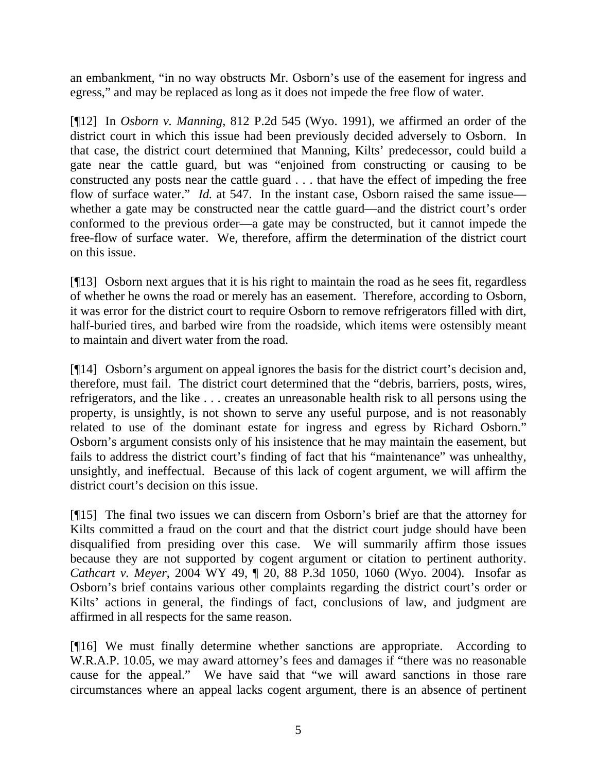an embankment, "in no way obstructs Mr. Osborn's use of the easement for ingress and egress," and may be replaced as long as it does not impede the free flow of water.

[¶12] In *Osborn v. Manning*, 812 P.2d 545 (Wyo. 1991), we affirmed an order of the district court in which this issue had been previously decided adversely to Osborn. In that case, the district court determined that Manning, Kilts' predecessor, could build a gate near the cattle guard, but was "enjoined from constructing or causing to be constructed any posts near the cattle guard . . . that have the effect of impeding the free flow of surface water." *Id.* at 547. In the instant case, Osborn raised the same issue whether a gate may be constructed near the cattle guard—and the district court's order conformed to the previous order—a gate may be constructed, but it cannot impede the free-flow of surface water. We, therefore, affirm the determination of the district court on this issue.

[¶13] Osborn next argues that it is his right to maintain the road as he sees fit, regardless of whether he owns the road or merely has an easement. Therefore, according to Osborn, it was error for the district court to require Osborn to remove refrigerators filled with dirt, half-buried tires, and barbed wire from the roadside, which items were ostensibly meant to maintain and divert water from the road.

[¶14] Osborn's argument on appeal ignores the basis for the district court's decision and, therefore, must fail. The district court determined that the "debris, barriers, posts, wires, refrigerators, and the like . . . creates an unreasonable health risk to all persons using the property, is unsightly, is not shown to serve any useful purpose, and is not reasonably related to use of the dominant estate for ingress and egress by Richard Osborn." Osborn's argument consists only of his insistence that he may maintain the easement, but fails to address the district court's finding of fact that his "maintenance" was unhealthy, unsightly, and ineffectual. Because of this lack of cogent argument, we will affirm the district court's decision on this issue.

[¶15] The final two issues we can discern from Osborn's brief are that the attorney for Kilts committed a fraud on the court and that the district court judge should have been disqualified from presiding over this case. We will summarily affirm those issues because they are not supported by cogent argument or citation to pertinent authority. *Cathcart v. Meyer*, 2004 WY 49, ¶ 20, 88 P.3d 1050, 1060 (Wyo. 2004). Insofar as Osborn's brief contains various other complaints regarding the district court's order or Kilts' actions in general, the findings of fact, conclusions of law, and judgment are affirmed in all respects for the same reason.

[¶16] We must finally determine whether sanctions are appropriate. According to W.R.A.P. 10.05, we may award attorney's fees and damages if "there was no reasonable cause for the appeal." We have said that "we will award sanctions in those rare circumstances where an appeal lacks cogent argument, there is an absence of pertinent